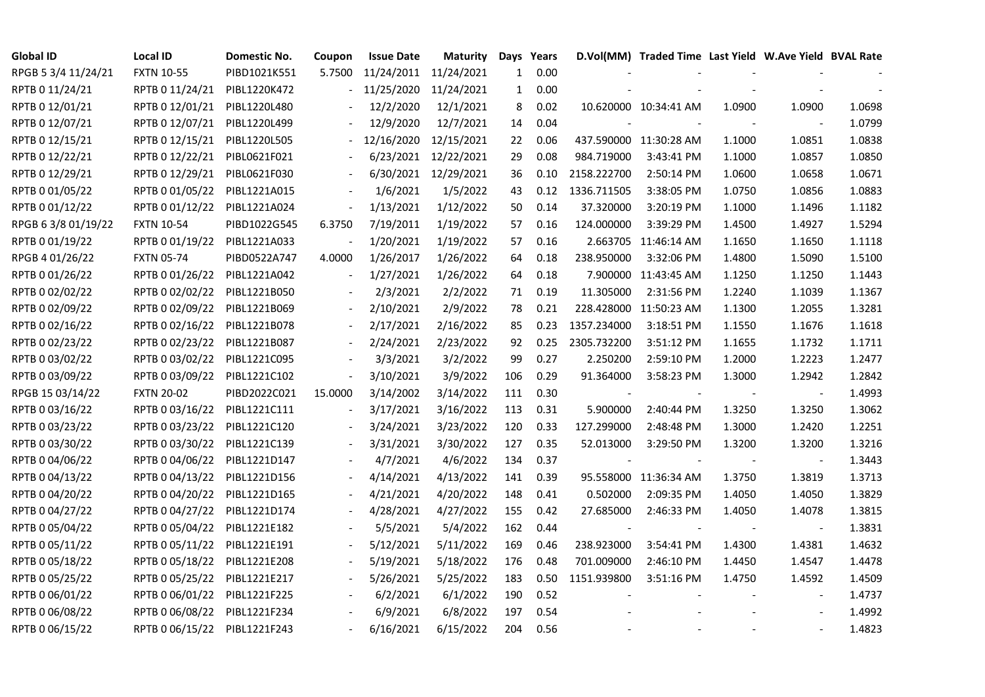| <b>Global ID</b>    | <b>Local ID</b>   | Domestic No. | Coupon         | <b>Issue Date</b> | Maturity   | Days         | Years |                          | D.Vol(MM) Traded Time Last Yield W.Ave Yield BVAL Rate |                          |                |        |
|---------------------|-------------------|--------------|----------------|-------------------|------------|--------------|-------|--------------------------|--------------------------------------------------------|--------------------------|----------------|--------|
| RPGB 5 3/4 11/24/21 | <b>FXTN 10-55</b> | PIBD1021K551 | 5.7500         | 11/24/2011        | 11/24/2021 | $\mathbf{1}$ | 0.00  |                          |                                                        |                          |                |        |
| RPTB 0 11/24/21     | RPTB 0 11/24/21   | PIBL1220K472 |                | 11/25/2020        | 11/24/2021 | $\mathbf{1}$ | 0.00  |                          |                                                        |                          |                |        |
| RPTB 0 12/01/21     | RPTB 0 12/01/21   | PIBL1220L480 |                | 12/2/2020         | 12/1/2021  | 8            | 0.02  |                          | 10.620000 10:34:41 AM                                  | 1.0900                   | 1.0900         | 1.0698 |
| RPTB 0 12/07/21     | RPTB 0 12/07/21   | PIBL1220L499 |                | 12/9/2020         | 12/7/2021  | 14           | 0.04  |                          |                                                        |                          |                | 1.0799 |
| RPTB 0 12/15/21     | RPTB 0 12/15/21   | PIBL1220L505 |                | 12/16/2020        | 12/15/2021 | 22           | 0.06  |                          | 437.590000 11:30:28 AM                                 | 1.1000                   | 1.0851         | 1.0838 |
| RPTB 0 12/22/21     | RPTB 0 12/22/21   | PIBL0621F021 |                | 6/23/2021         | 12/22/2021 | 29           | 0.08  | 984.719000               | 3:43:41 PM                                             | 1.1000                   | 1.0857         | 1.0850 |
| RPTB 0 12/29/21     | RPTB 0 12/29/21   | PIBL0621F030 |                | 6/30/2021         | 12/29/2021 | 36           | 0.10  | 2158.222700              | 2:50:14 PM                                             | 1.0600                   | 1.0658         | 1.0671 |
| RPTB 0 01/05/22     | RPTB 0 01/05/22   | PIBL1221A015 |                | 1/6/2021          | 1/5/2022   | 43           | 0.12  | 1336.711505              | 3:38:05 PM                                             | 1.0750                   | 1.0856         | 1.0883 |
| RPTB 0 01/12/22     | RPTB 0 01/12/22   | PIBL1221A024 |                | 1/13/2021         | 1/12/2022  | 50           | 0.14  | 37.320000                | 3:20:19 PM                                             | 1.1000                   | 1.1496         | 1.1182 |
| RPGB 63/8 01/19/22  | <b>FXTN 10-54</b> | PIBD1022G545 | 6.3750         | 7/19/2011         | 1/19/2022  | 57           | 0.16  | 124.000000               | 3:39:29 PM                                             | 1.4500                   | 1.4927         | 1.5294 |
| RPTB 0 01/19/22     | RPTB 0 01/19/22   | PIBL1221A033 |                | 1/20/2021         | 1/19/2022  | 57           | 0.16  |                          | 2.663705 11:46:14 AM                                   | 1.1650                   | 1.1650         | 1.1118 |
| RPGB 4 01/26/22     | <b>FXTN 05-74</b> | PIBD0522A747 | 4.0000         | 1/26/2017         | 1/26/2022  | 64           | 0.18  | 238.950000               | 3:32:06 PM                                             | 1.4800                   | 1.5090         | 1.5100 |
| RPTB 0 01/26/22     | RPTB 0 01/26/22   | PIBL1221A042 |                | 1/27/2021         | 1/26/2022  | 64           | 0.18  |                          | 7.900000 11:43:45 AM                                   | 1.1250                   | 1.1250         | 1.1443 |
| RPTB 0 02/02/22     | RPTB 0 02/02/22   | PIBL1221B050 |                | 2/3/2021          | 2/2/2022   | 71           | 0.19  | 11.305000                | 2:31:56 PM                                             | 1.2240                   | 1.1039         | 1.1367 |
| RPTB 0 02/09/22     | RPTB 0 02/09/22   | PIBL1221B069 |                | 2/10/2021         | 2/9/2022   | 78           | 0.21  |                          | 228.428000 11:50:23 AM                                 | 1.1300                   | 1.2055         | 1.3281 |
| RPTB 0 02/16/22     | RPTB 0 02/16/22   | PIBL1221B078 |                | 2/17/2021         | 2/16/2022  | 85           | 0.23  | 1357.234000              | 3:18:51 PM                                             | 1.1550                   | 1.1676         | 1.1618 |
| RPTB 0 02/23/22     | RPTB 0 02/23/22   | PIBL1221B087 |                | 2/24/2021         | 2/23/2022  | 92           | 0.25  | 2305.732200              | 3:51:12 PM                                             | 1.1655                   | 1.1732         | 1.1711 |
| RPTB 0 03/02/22     | RPTB 0 03/02/22   | PIBL1221C095 |                | 3/3/2021          | 3/2/2022   | 99           | 0.27  | 2.250200                 | 2:59:10 PM                                             | 1.2000                   | 1.2223         | 1.2477 |
| RPTB 0 03/09/22     | RPTB 0 03/09/22   | PIBL1221C102 | $\blacksquare$ | 3/10/2021         | 3/9/2022   | 106          | 0.29  | 91.364000                | 3:58:23 PM                                             | 1.3000                   | 1.2942         | 1.2842 |
| RPGB 15 03/14/22    | <b>FXTN 20-02</b> | PIBD2022C021 | 15.0000        | 3/14/2002         | 3/14/2022  | 111          | 0.30  |                          |                                                        | $\overline{\phantom{a}}$ |                | 1.4993 |
| RPTB 0 03/16/22     | RPTB 0 03/16/22   | PIBL1221C111 |                | 3/17/2021         | 3/16/2022  | 113          | 0.31  | 5.900000                 | 2:40:44 PM                                             | 1.3250                   | 1.3250         | 1.3062 |
| RPTB 0 03/23/22     | RPTB 0 03/23/22   | PIBL1221C120 |                | 3/24/2021         | 3/23/2022  | 120          | 0.33  | 127.299000               | 2:48:48 PM                                             | 1.3000                   | 1.2420         | 1.2251 |
| RPTB 0 03/30/22     | RPTB 0 03/30/22   | PIBL1221C139 |                | 3/31/2021         | 3/30/2022  | 127          | 0.35  | 52.013000                | 3:29:50 PM                                             | 1.3200                   | 1.3200         | 1.3216 |
| RPTB 0 04/06/22     | RPTB 0 04/06/22   | PIBL1221D147 |                | 4/7/2021          | 4/6/2022   | 134          | 0.37  |                          |                                                        |                          |                | 1.3443 |
| RPTB 0 04/13/22     | RPTB 0 04/13/22   | PIBL1221D156 |                | 4/14/2021         | 4/13/2022  | 141          | 0.39  |                          | 95.558000 11:36:34 AM                                  | 1.3750                   | 1.3819         | 1.3713 |
| RPTB 0 04/20/22     | RPTB 0 04/20/22   | PIBL1221D165 |                | 4/21/2021         | 4/20/2022  | 148          | 0.41  | 0.502000                 | 2:09:35 PM                                             | 1.4050                   | 1.4050         | 1.3829 |
| RPTB 0 04/27/22     | RPTB 0 04/27/22   | PIBL1221D174 |                | 4/28/2021         | 4/27/2022  | 155          | 0.42  | 27.685000                | 2:46:33 PM                                             | 1.4050                   | 1.4078         | 1.3815 |
| RPTB 0 05/04/22     | RPTB 0 05/04/22   | PIBL1221E182 |                | 5/5/2021          | 5/4/2022   | 162          | 0.44  | $\overline{\phantom{a}}$ |                                                        |                          | $\blacksquare$ | 1.3831 |
| RPTB 0 05/11/22     | RPTB 0 05/11/22   | PIBL1221E191 |                | 5/12/2021         | 5/11/2022  | 169          | 0.46  | 238.923000               | 3:54:41 PM                                             | 1.4300                   | 1.4381         | 1.4632 |
| RPTB 0 05/18/22     | RPTB 0 05/18/22   | PIBL1221E208 |                | 5/19/2021         | 5/18/2022  | 176          | 0.48  | 701.009000               | 2:46:10 PM                                             | 1.4450                   | 1.4547         | 1.4478 |
| RPTB 0 05/25/22     | RPTB 0 05/25/22   | PIBL1221E217 |                | 5/26/2021         | 5/25/2022  | 183          | 0.50  | 1151.939800              | 3:51:16 PM                                             | 1.4750                   | 1.4592         | 1.4509 |
| RPTB 0 06/01/22     | RPTB 0 06/01/22   | PIBL1221F225 |                | 6/2/2021          | 6/1/2022   | 190          | 0.52  |                          |                                                        |                          |                | 1.4737 |
| RPTB 0 06/08/22     | RPTB 0 06/08/22   | PIBL1221F234 |                | 6/9/2021          | 6/8/2022   | 197          | 0.54  |                          |                                                        |                          |                | 1.4992 |
| RPTB 0 06/15/22     | RPTB 0 06/15/22   | PIBL1221F243 |                | 6/16/2021         | 6/15/2022  | 204          | 0.56  |                          |                                                        |                          |                | 1.4823 |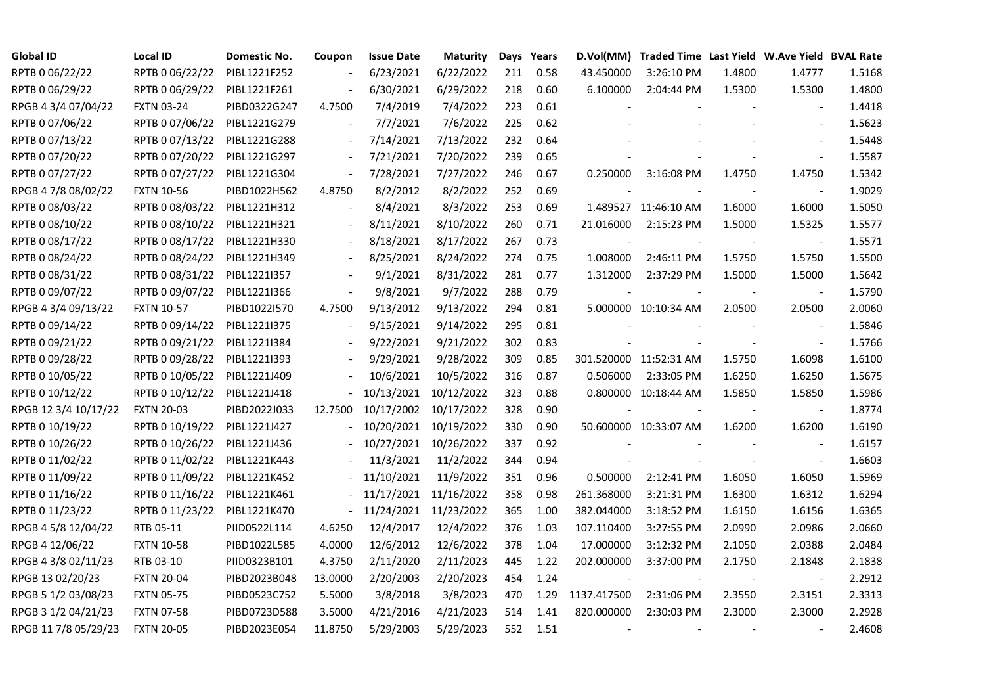| <b>Global ID</b>     | <b>Local ID</b>   | Domestic No. | Coupon                   | <b>Issue Date</b> | Maturity              |     | Days Years |                          | D.Vol(MM) Traded Time Last Yield W.Ave Yield BVAL Rate |        |                          |        |
|----------------------|-------------------|--------------|--------------------------|-------------------|-----------------------|-----|------------|--------------------------|--------------------------------------------------------|--------|--------------------------|--------|
| RPTB 0 06/22/22      | RPTB 0 06/22/22   | PIBL1221F252 |                          | 6/23/2021         | 6/22/2022             | 211 | 0.58       | 43.450000                | 3:26:10 PM                                             | 1.4800 | 1.4777                   | 1.5168 |
| RPTB 0 06/29/22      | RPTB 0 06/29/22   | PIBL1221F261 |                          | 6/30/2021         | 6/29/2022             | 218 | 0.60       | 6.100000                 | 2:04:44 PM                                             | 1.5300 | 1.5300                   | 1.4800 |
| RPGB 4 3/4 07/04/22  | <b>FXTN 03-24</b> | PIBD0322G247 | 4.7500                   | 7/4/2019          | 7/4/2022              | 223 | 0.61       |                          |                                                        |        |                          | 1.4418 |
| RPTB 0 07/06/22      | RPTB 0 07/06/22   | PIBL1221G279 | $\blacksquare$           | 7/7/2021          | 7/6/2022              | 225 | 0.62       |                          |                                                        |        | $\overline{a}$           | 1.5623 |
| RPTB 0 07/13/22      | RPTB 0 07/13/22   | PIBL1221G288 | $\overline{\phantom{a}}$ | 7/14/2021         | 7/13/2022             | 232 | 0.64       |                          |                                                        |        |                          | 1.5448 |
| RPTB 0 07/20/22      | RPTB 0 07/20/22   | PIBL1221G297 | $\blacksquare$           | 7/21/2021         | 7/20/2022             | 239 | 0.65       |                          |                                                        |        |                          | 1.5587 |
| RPTB 0 07/27/22      | RPTB 0 07/27/22   | PIBL1221G304 | $\blacksquare$           | 7/28/2021         | 7/27/2022             | 246 | 0.67       | 0.250000                 | 3:16:08 PM                                             | 1.4750 | 1.4750                   | 1.5342 |
| RPGB 4 7/8 08/02/22  | <b>FXTN 10-56</b> | PIBD1022H562 | 4.8750                   | 8/2/2012          | 8/2/2022              | 252 | 0.69       |                          |                                                        |        | $\overline{\phantom{a}}$ | 1.9029 |
| RPTB 0 08/03/22      | RPTB 0 08/03/22   | PIBL1221H312 |                          | 8/4/2021          | 8/3/2022              | 253 | 0.69       |                          | 1.489527 11:46:10 AM                                   | 1.6000 | 1.6000                   | 1.5050 |
| RPTB 0 08/10/22      | RPTB 0 08/10/22   | PIBL1221H321 | $\overline{\phantom{a}}$ | 8/11/2021         | 8/10/2022             | 260 | 0.71       | 21.016000                | 2:15:23 PM                                             | 1.5000 | 1.5325                   | 1.5577 |
| RPTB 0 08/17/22      | RPTB 0 08/17/22   | PIBL1221H330 | $\blacksquare$           | 8/18/2021         | 8/17/2022             | 267 | 0.73       |                          |                                                        |        | $\overline{\phantom{a}}$ | 1.5571 |
| RPTB 0 08/24/22      | RPTB 0 08/24/22   | PIBL1221H349 | $\blacksquare$           | 8/25/2021         | 8/24/2022             | 274 | 0.75       | 1.008000                 | 2:46:11 PM                                             | 1.5750 | 1.5750                   | 1.5500 |
| RPTB 0 08/31/22      | RPTB 0 08/31/22   | PIBL1221I357 |                          | 9/1/2021          | 8/31/2022             | 281 | 0.77       | 1.312000                 | 2:37:29 PM                                             | 1.5000 | 1.5000                   | 1.5642 |
| RPTB 0 09/07/22      | RPTB 0 09/07/22   | PIBL1221I366 | $\overline{\phantom{a}}$ | 9/8/2021          | 9/7/2022              | 288 | 0.79       | $\frac{1}{2}$            |                                                        |        | $\overline{\phantom{a}}$ | 1.5790 |
| RPGB 4 3/4 09/13/22  | <b>FXTN 10-57</b> | PIBD1022I570 | 4.7500                   | 9/13/2012         | 9/13/2022             | 294 | 0.81       |                          | 5.000000 10:10:34 AM                                   | 2.0500 | 2.0500                   | 2.0060 |
| RPTB 0 09/14/22      | RPTB 0 09/14/22   | PIBL1221I375 |                          | 9/15/2021         | 9/14/2022             | 295 | 0.81       |                          |                                                        |        |                          | 1.5846 |
| RPTB 0 09/21/22      | RPTB 0 09/21/22   | PIBL1221I384 |                          | 9/22/2021         | 9/21/2022             | 302 | 0.83       |                          |                                                        |        | $\overline{\phantom{a}}$ | 1.5766 |
| RPTB 0 09/28/22      | RPTB 0 09/28/22   | PIBL1221I393 | $\overline{\phantom{a}}$ | 9/29/2021         | 9/28/2022             | 309 | 0.85       |                          | 301.520000 11:52:31 AM                                 | 1.5750 | 1.6098                   | 1.6100 |
| RPTB 0 10/05/22      | RPTB 0 10/05/22   | PIBL1221J409 |                          | 10/6/2021         | 10/5/2022             | 316 | 0.87       | 0.506000                 | 2:33:05 PM                                             | 1.6250 | 1.6250                   | 1.5675 |
| RPTB 0 10/12/22      | RPTB 0 10/12/22   | PIBL1221J418 |                          |                   | 10/13/2021 10/12/2022 | 323 | 0.88       |                          | 0.800000 10:18:44 AM                                   | 1.5850 | 1.5850                   | 1.5986 |
| RPGB 12 3/4 10/17/22 | <b>FXTN 20-03</b> | PIBD2022J033 | 12.7500                  | 10/17/2002        | 10/17/2022            | 328 | 0.90       |                          |                                                        |        | $\overline{\phantom{a}}$ | 1.8774 |
| RPTB 0 10/19/22      | RPTB 0 10/19/22   | PIBL1221J427 |                          | 10/20/2021        | 10/19/2022            | 330 | 0.90       |                          | 50.600000 10:33:07 AM                                  | 1.6200 | 1.6200                   | 1.6190 |
| RPTB 0 10/26/22      | RPTB 0 10/26/22   | PIBL1221J436 |                          | 10/27/2021        | 10/26/2022            | 337 | 0.92       |                          |                                                        |        |                          | 1.6157 |
| RPTB 0 11/02/22      | RPTB 0 11/02/22   | PIBL1221K443 |                          | 11/3/2021         | 11/2/2022             | 344 | 0.94       |                          |                                                        |        | $\overline{\phantom{a}}$ | 1.6603 |
| RPTB 0 11/09/22      | RPTB 0 11/09/22   | PIBL1221K452 |                          | 11/10/2021        | 11/9/2022             | 351 | 0.96       | 0.500000                 | 2:12:41 PM                                             | 1.6050 | 1.6050                   | 1.5969 |
| RPTB 0 11/16/22      | RPTB 0 11/16/22   | PIBL1221K461 |                          | 11/17/2021        | 11/16/2022            | 358 | 0.98       | 261.368000               | 3:21:31 PM                                             | 1.6300 | 1.6312                   | 1.6294 |
| RPTB 0 11/23/22      | RPTB 0 11/23/22   | PIBL1221K470 | $\sim$                   |                   | 11/24/2021 11/23/2022 | 365 | 1.00       | 382.044000               | 3:18:52 PM                                             | 1.6150 | 1.6156                   | 1.6365 |
| RPGB 4 5/8 12/04/22  | RTB 05-11         | PIID0522L114 | 4.6250                   | 12/4/2017         | 12/4/2022             | 376 | 1.03       | 107.110400               | 3:27:55 PM                                             | 2.0990 | 2.0986                   | 2.0660 |
| RPGB 4 12/06/22      | <b>FXTN 10-58</b> | PIBD1022L585 | 4.0000                   | 12/6/2012         | 12/6/2022             | 378 | 1.04       | 17.000000                | 3:12:32 PM                                             | 2.1050 | 2.0388                   | 2.0484 |
| RPGB 4 3/8 02/11/23  | RTB 03-10         | PIID0323B101 | 4.3750                   | 2/11/2020         | 2/11/2023             | 445 | 1.22       | 202.000000               | 3:37:00 PM                                             | 2.1750 | 2.1848                   | 2.1838 |
| RPGB 13 02/20/23     | <b>FXTN 20-04</b> | PIBD2023B048 | 13.0000                  | 2/20/2003         | 2/20/2023             | 454 | 1.24       |                          |                                                        |        |                          | 2.2912 |
| RPGB 5 1/2 03/08/23  | <b>FXTN 05-75</b> | PIBD0523C752 | 5.5000                   | 3/8/2018          | 3/8/2023              | 470 | 1.29       | 1137.417500              | 2:31:06 PM                                             | 2.3550 | 2.3151                   | 2.3313 |
| RPGB 3 1/2 04/21/23  | <b>FXTN 07-58</b> | PIBD0723D588 | 3.5000                   | 4/21/2016         | 4/21/2023             | 514 | 1.41       | 820.000000               | 2:30:03 PM                                             | 2.3000 | 2.3000                   | 2.2928 |
| RPGB 11 7/8 05/29/23 | <b>FXTN 20-05</b> | PIBD2023E054 | 11.8750                  | 5/29/2003         | 5/29/2023             | 552 | 1.51       | $\overline{\phantom{a}}$ |                                                        |        |                          | 2.4608 |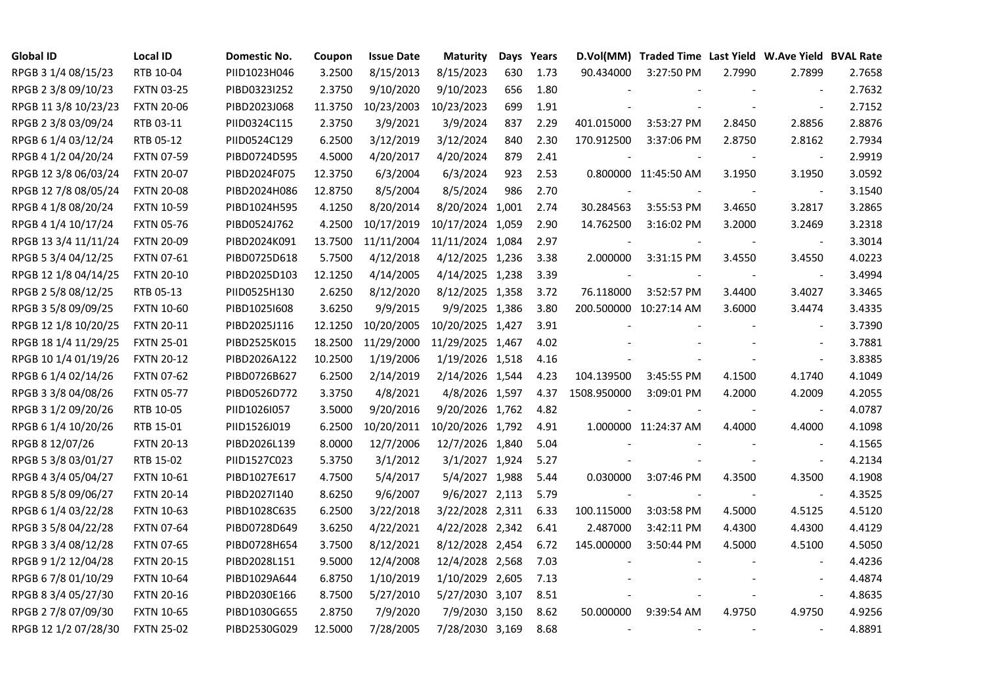| <b>Global ID</b>     | <b>Local ID</b>   | Domestic No. | Coupon  | <b>Issue Date</b> | <b>Maturity</b>  | Days | Years |                          | D.Vol(MM) Traded Time Last Yield W.Ave Yield BVAL Rate |        |                          |        |
|----------------------|-------------------|--------------|---------|-------------------|------------------|------|-------|--------------------------|--------------------------------------------------------|--------|--------------------------|--------|
| RPGB 3 1/4 08/15/23  | RTB 10-04         | PIID1023H046 | 3.2500  | 8/15/2013         | 8/15/2023        | 630  | 1.73  | 90.434000                | 3:27:50 PM                                             | 2.7990 | 2.7899                   | 2.7658 |
| RPGB 2 3/8 09/10/23  | <b>FXTN 03-25</b> | PIBD0323I252 | 2.3750  | 9/10/2020         | 9/10/2023        | 656  | 1.80  |                          |                                                        |        |                          | 2.7632 |
| RPGB 11 3/8 10/23/23 | <b>FXTN 20-06</b> | PIBD2023J068 | 11.3750 | 10/23/2003        | 10/23/2023       | 699  | 1.91  |                          |                                                        |        | $\blacksquare$           | 2.7152 |
| RPGB 2 3/8 03/09/24  | RTB 03-11         | PIID0324C115 | 2.3750  | 3/9/2021          | 3/9/2024         | 837  | 2.29  | 401.015000               | 3:53:27 PM                                             | 2.8450 | 2.8856                   | 2.8876 |
| RPGB 6 1/4 03/12/24  | RTB 05-12         | PIID0524C129 | 6.2500  | 3/12/2019         | 3/12/2024        | 840  | 2.30  | 170.912500               | 3:37:06 PM                                             | 2.8750 | 2.8162                   | 2.7934 |
| RPGB 4 1/2 04/20/24  | <b>FXTN 07-59</b> | PIBD0724D595 | 4.5000  | 4/20/2017         | 4/20/2024        | 879  | 2.41  |                          |                                                        |        | $\blacksquare$           | 2.9919 |
| RPGB 12 3/8 06/03/24 | <b>FXTN 20-07</b> | PIBD2024F075 | 12.3750 | 6/3/2004          | 6/3/2024         | 923  | 2.53  |                          | 0.800000 11:45:50 AM                                   | 3.1950 | 3.1950                   | 3.0592 |
| RPGB 12 7/8 08/05/24 | <b>FXTN 20-08</b> | PIBD2024H086 | 12.8750 | 8/5/2004          | 8/5/2024         | 986  | 2.70  |                          |                                                        |        | $\sim$                   | 3.1540 |
| RPGB 4 1/8 08/20/24  | <b>FXTN 10-59</b> | PIBD1024H595 | 4.1250  | 8/20/2014         | 8/20/2024 1,001  |      | 2.74  | 30.284563                | 3:55:53 PM                                             | 3.4650 | 3.2817                   | 3.2865 |
| RPGB 4 1/4 10/17/24  | <b>FXTN 05-76</b> | PIBD0524J762 | 4.2500  | 10/17/2019        | 10/17/2024 1,059 |      | 2.90  | 14.762500                | 3:16:02 PM                                             | 3.2000 | 3.2469                   | 3.2318 |
| RPGB 13 3/4 11/11/24 | <b>FXTN 20-09</b> | PIBD2024K091 | 13.7500 | 11/11/2004        | 11/11/2024 1,084 |      | 2.97  |                          |                                                        |        | $\blacksquare$           | 3.3014 |
| RPGB 5 3/4 04/12/25  | <b>FXTN 07-61</b> | PIBD0725D618 | 5.7500  | 4/12/2018         | 4/12/2025 1,236  |      | 3.38  | 2.000000                 | 3:31:15 PM                                             | 3.4550 | 3.4550                   | 4.0223 |
| RPGB 12 1/8 04/14/25 | <b>FXTN 20-10</b> | PIBD2025D103 | 12.1250 | 4/14/2005         | 4/14/2025 1,238  |      | 3.39  |                          |                                                        |        | $\overline{\phantom{a}}$ | 3.4994 |
| RPGB 2 5/8 08/12/25  | RTB 05-13         | PIID0525H130 | 2.6250  | 8/12/2020         | 8/12/2025 1,358  |      | 3.72  | 76.118000                | 3:52:57 PM                                             | 3.4400 | 3.4027                   | 3.3465 |
| RPGB 3 5/8 09/09/25  | <b>FXTN 10-60</b> | PIBD10251608 | 3.6250  | 9/9/2015          | 9/9/2025 1,386   |      | 3.80  |                          | 200.500000 10:27:14 AM                                 | 3.6000 | 3.4474                   | 3.4335 |
| RPGB 12 1/8 10/20/25 | <b>FXTN 20-11</b> | PIBD2025J116 | 12.1250 | 10/20/2005        | 10/20/2025 1,427 |      | 3.91  |                          |                                                        |        |                          | 3.7390 |
| RPGB 18 1/4 11/29/25 | <b>FXTN 25-01</b> | PIBD2525K015 | 18.2500 | 11/29/2000        | 11/29/2025 1,467 |      | 4.02  |                          |                                                        |        | $\blacksquare$           | 3.7881 |
| RPGB 10 1/4 01/19/26 | <b>FXTN 20-12</b> | PIBD2026A122 | 10.2500 | 1/19/2006         | 1/19/2026 1,518  |      | 4.16  |                          |                                                        |        | $\blacksquare$           | 3.8385 |
| RPGB 6 1/4 02/14/26  | <b>FXTN 07-62</b> | PIBD0726B627 | 6.2500  | 2/14/2019         | 2/14/2026 1,544  |      | 4.23  | 104.139500               | 3:45:55 PM                                             | 4.1500 | 4.1740                   | 4.1049 |
| RPGB 3 3/8 04/08/26  | <b>FXTN 05-77</b> | PIBD0526D772 | 3.3750  | 4/8/2021          | 4/8/2026 1,597   |      | 4.37  | 1508.950000              | 3:09:01 PM                                             | 4.2000 | 4.2009                   | 4.2055 |
| RPGB 3 1/2 09/20/26  | RTB 10-05         | PIID1026I057 | 3.5000  | 9/20/2016         | 9/20/2026 1,762  |      | 4.82  | $\overline{\phantom{a}}$ |                                                        | $\sim$ | $\blacksquare$           | 4.0787 |
| RPGB 6 1/4 10/20/26  | RTB 15-01         | PIID1526J019 | 6.2500  | 10/20/2011        | 10/20/2026 1,792 |      | 4.91  |                          | 1.000000 11:24:37 AM                                   | 4.4000 | 4.4000                   | 4.1098 |
| RPGB 8 12/07/26      | <b>FXTN 20-13</b> | PIBD2026L139 | 8.0000  | 12/7/2006         | 12/7/2026 1,840  |      | 5.04  |                          |                                                        |        |                          | 4.1565 |
| RPGB 5 3/8 03/01/27  | RTB 15-02         | PIID1527C023 | 5.3750  | 3/1/2012          | 3/1/2027 1,924   |      | 5.27  |                          |                                                        |        | $\sim$                   | 4.2134 |
| RPGB 4 3/4 05/04/27  | <b>FXTN 10-61</b> | PIBD1027E617 | 4.7500  | 5/4/2017          | 5/4/2027 1,988   |      | 5.44  | 0.030000                 | 3:07:46 PM                                             | 4.3500 | 4.3500                   | 4.1908 |
| RPGB 8 5/8 09/06/27  | <b>FXTN 20-14</b> | PIBD2027I140 | 8.6250  | 9/6/2007          | 9/6/2027 2,113   |      | 5.79  |                          |                                                        |        | $\blacksquare$           | 4.3525 |
| RPGB 6 1/4 03/22/28  | <b>FXTN 10-63</b> | PIBD1028C635 | 6.2500  | 3/22/2018         | 3/22/2028 2,311  |      | 6.33  | 100.115000               | 3:03:58 PM                                             | 4.5000 | 4.5125                   | 4.5120 |
| RPGB 3 5/8 04/22/28  | <b>FXTN 07-64</b> | PIBD0728D649 | 3.6250  | 4/22/2021         | 4/22/2028 2,342  |      | 6.41  | 2.487000                 | 3:42:11 PM                                             | 4.4300 | 4.4300                   | 4.4129 |
| RPGB 3 3/4 08/12/28  | <b>FXTN 07-65</b> | PIBD0728H654 | 3.7500  | 8/12/2021         | 8/12/2028 2,454  |      | 6.72  | 145.000000               | 3:50:44 PM                                             | 4.5000 | 4.5100                   | 4.5050 |
| RPGB 9 1/2 12/04/28  | <b>FXTN 20-15</b> | PIBD2028L151 | 9.5000  | 12/4/2008         | 12/4/2028 2,568  |      | 7.03  |                          |                                                        |        |                          | 4.4236 |
| RPGB 67/8 01/10/29   | <b>FXTN 10-64</b> | PIBD1029A644 | 6.8750  | 1/10/2019         | 1/10/2029 2,605  |      | 7.13  |                          |                                                        |        |                          | 4.4874 |
| RPGB 8 3/4 05/27/30  | <b>FXTN 20-16</b> | PIBD2030E166 | 8.7500  | 5/27/2010         | 5/27/2030 3,107  |      | 8.51  |                          |                                                        |        | $\blacksquare$           | 4.8635 |
| RPGB 2 7/8 07/09/30  | <b>FXTN 10-65</b> | PIBD1030G655 | 2.8750  | 7/9/2020          | 7/9/2030 3,150   |      | 8.62  | 50.000000                | 9:39:54 AM                                             | 4.9750 | 4.9750                   | 4.9256 |
| RPGB 12 1/2 07/28/30 | <b>FXTN 25-02</b> | PIBD2530G029 | 12.5000 | 7/28/2005         | 7/28/2030 3,169  |      | 8.68  | $\overline{\phantom{a}}$ |                                                        |        | $\blacksquare$           | 4.8891 |